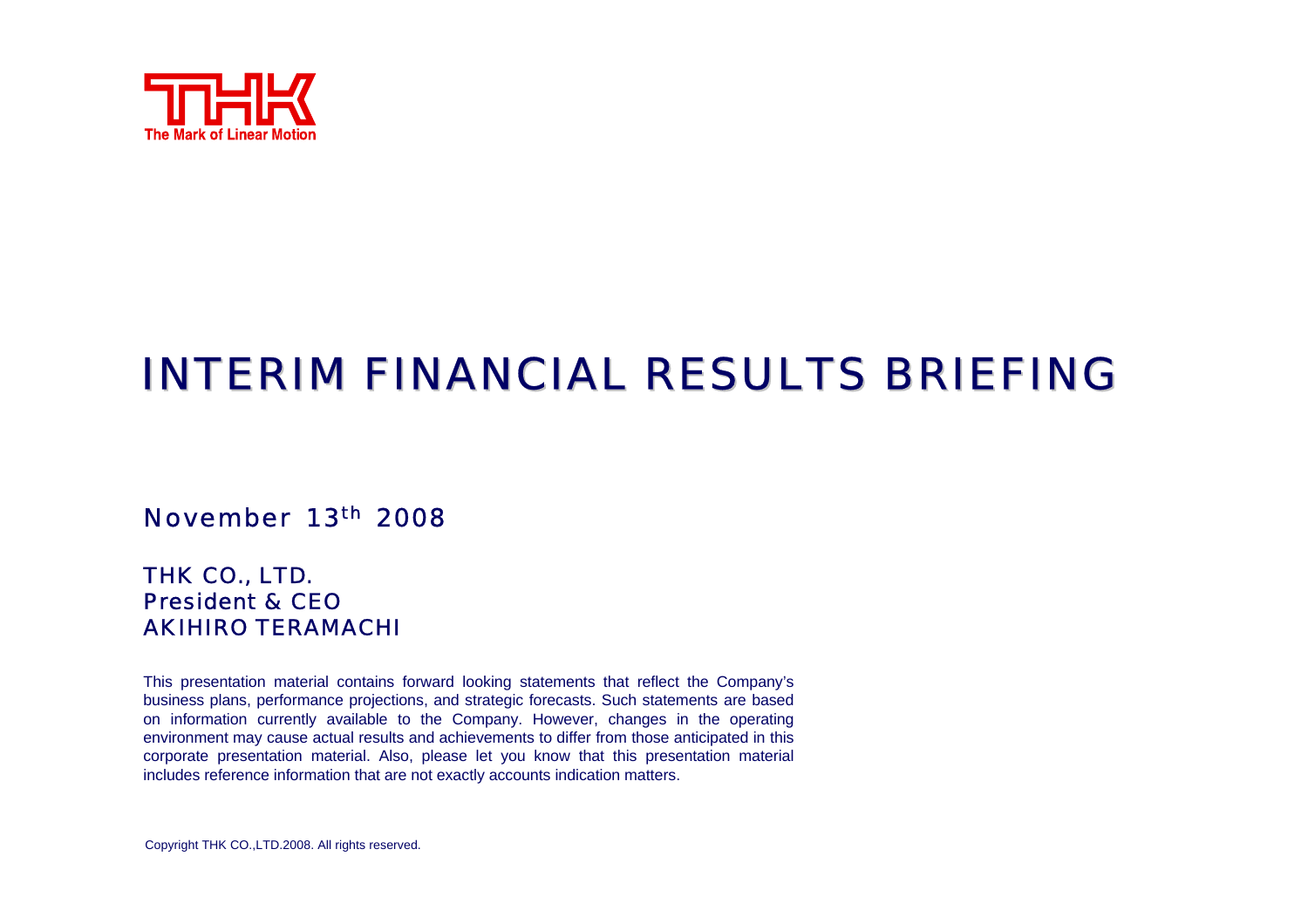

## INTERIM FINANCIAL RESULTS BRIEFING

#### November 13th 2008

#### THK CO., LTD. President & CEOAKIHIRO TERAMACHI

This presentation material contains forward looking statements that reflect the Company's business plans, performance projections, and strategic forecasts. Such statements are based on information currently available to the Company. However, changes in the operating environment may cause actual results and achievements to differ from those anticipated in this corporate presentation material. Also, please let you know that this presentation material includes reference information that are not exactly accounts indication matters.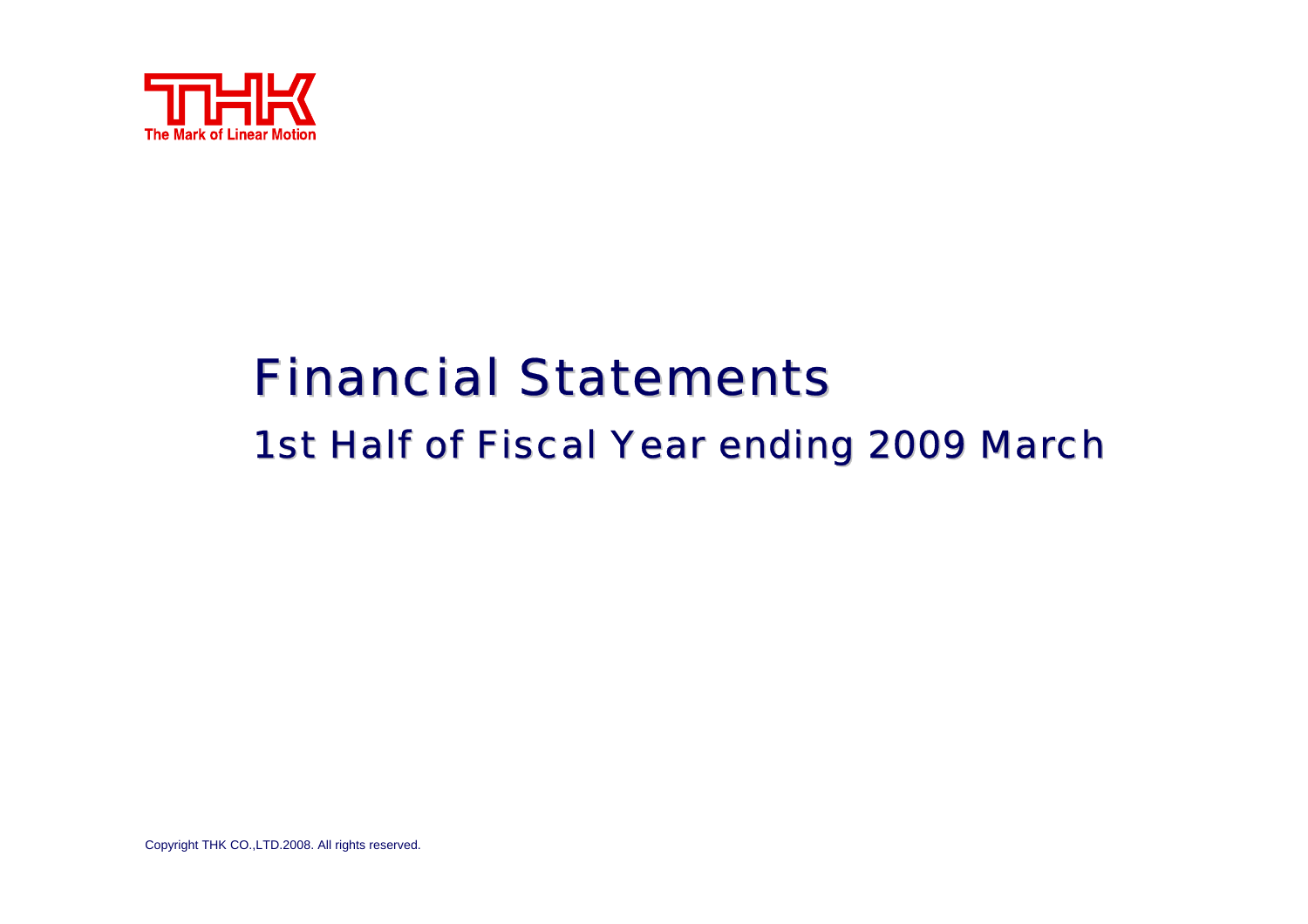

# **Financial Statements** 1st Half of Fiscal Year ending 2009 March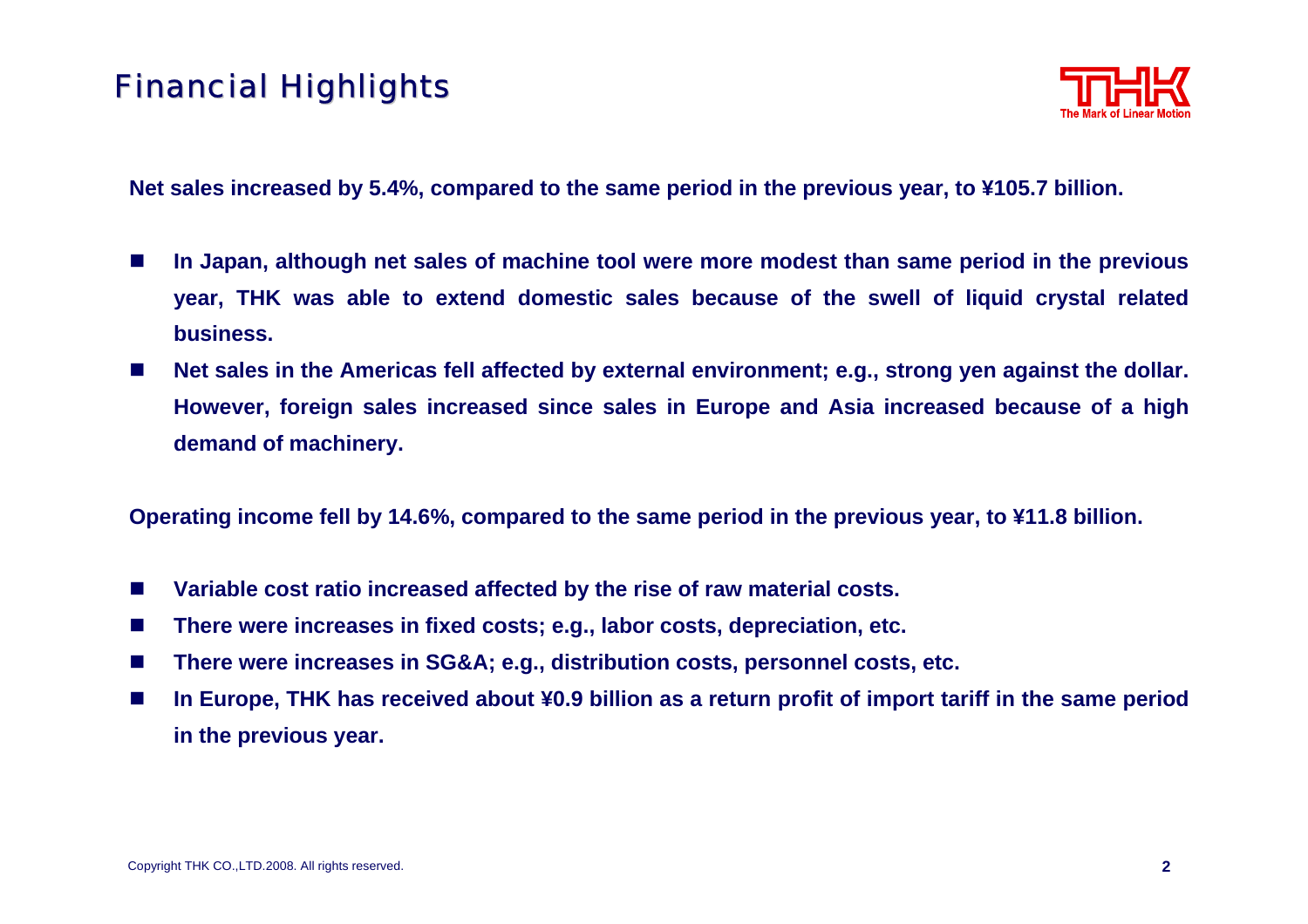## **Financial Highlights**



**Net sales increased by 5.4%, compared to the same period in the previous year, to ¥105.7 billion.** 

- $\sim$  **In Japan, although net sales of machine tool were more modest than same period in the previous year, THK was able to extend domestic sales because of the swell of liquid crystal related business.**
- П **Net sales in the Americas fell affected by external environment; e.g., strong yen against the dollar. However, foreign sales increased since sales in Europe and Asia increased because of a high demand of machinery.**

**Operating income fell by 14.6%, compared to the same period in the previous year, to ¥11.8 billion.**

- П **Variable cost ratio increased affected by the rise of raw material costs.**
- **The State There were increases in fixed costs; e.g., labor costs, depreciation, etc.**
- $\mathcal{L}^{\text{max}}$ **There were increases in SG&A; e.g., distribution costs, personnel costs, etc.**
- ш **In Europe, THK has received about ¥0.9 billion as a return profit of import tariff in the same period in the previous year.**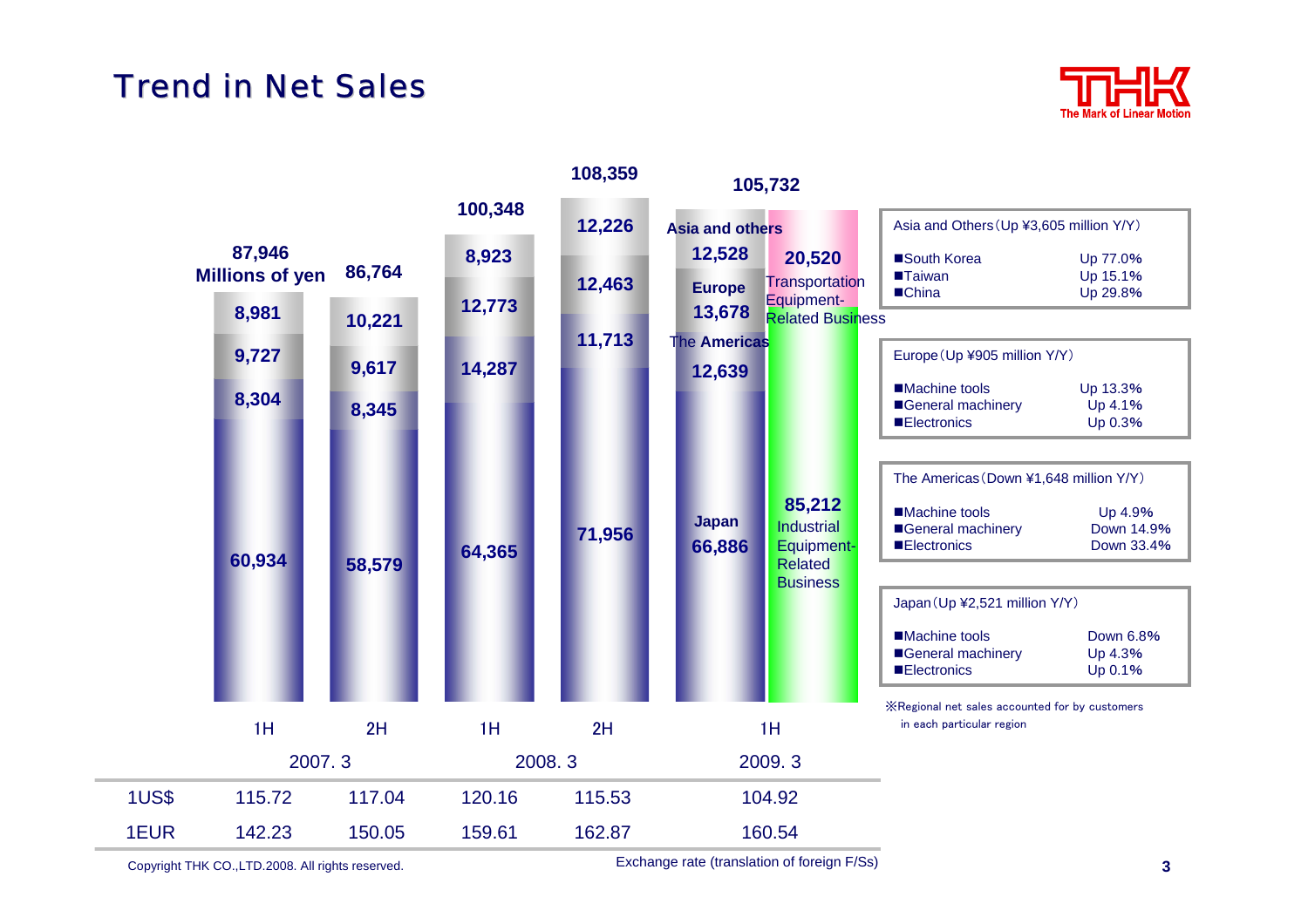#### **Trend in Net Sales**



|              |                                  |        | 100,348 | 108,359 | 105,732                 |                                                                                       |                                                                                                                                            |                                  |  |
|--------------|----------------------------------|--------|---------|---------|-------------------------|---------------------------------------------------------------------------------------|--------------------------------------------------------------------------------------------------------------------------------------------|----------------------------------|--|
|              |                                  |        |         | 12,226  | <b>Asia and others</b>  |                                                                                       | Asia and Others (Up ¥3,605 million Y/Y)                                                                                                    |                                  |  |
|              | 87,946<br><b>Millions of yen</b> | 86,764 | 8,923   | 12,463  | 12,528<br><b>Europe</b> | 20,520<br>Transportation                                                              | South Korea<br><b>Taiwan</b><br>■China                                                                                                     | Up 77.0%<br>Up 15.1%<br>Up 29.8% |  |
|              | 8,981                            | 10,221 | 12,773  |         | 13,678                  | Equipment-<br><b>Related Business</b>                                                 |                                                                                                                                            |                                  |  |
|              | 9,727                            | 9,617  | 14,287  | 11,713  | The Americas<br>12,639  |                                                                                       | Europe (Up ¥905 million Y/Y)                                                                                                               |                                  |  |
|              | 8,304                            | 8,345  |         |         |                         |                                                                                       | ■Machine tools<br>General machinery<br><b>Electronics</b>                                                                                  | Up 13.3%<br>Up 4.1%<br>Up 0.3%   |  |
|              | 60,934                           | 58,579 | 64,365  | 71,956  | <b>Japan</b><br>66,886  | 85,212<br><b>Industrial</b><br><b>Equipment-</b><br><b>Related</b><br><b>Business</b> | The Americas (Down ¥1,648 million Y/Y)<br>■Machine tools<br>Up 4.9%<br>General machinery<br>Down 14.9%<br><b>Electronics</b><br>Down 33.4% |                                  |  |
|              |                                  |        |         |         |                         |                                                                                       | Japan (Up ¥2,521 million Y/Y)<br>■Machine tools<br>General machinery<br><b>Electronics</b>                                                 | Down 6.8%<br>Up 4.3%<br>Up 0.1%  |  |
|              | 1H                               | 2H     | 1H      | 2H      |                         | 1H                                                                                    | X Regional net sales accounted for by customers<br>in each particular region                                                               |                                  |  |
|              | 2007.3                           |        |         | 2008.3  |                         | 2009.3                                                                                |                                                                                                                                            |                                  |  |
| <b>1US\$</b> | 115.72                           | 117.04 | 120.16  | 115.53  |                         | 104.92                                                                                |                                                                                                                                            |                                  |  |
| 1EUR         | 142.23                           | 150.05 | 159.61  | 162.87  |                         | 160.54                                                                                |                                                                                                                                            |                                  |  |

Copyright THK CO.,LTD.2008. All rights reserved. **3**

Exchange rate (translation of foreign F/Ss)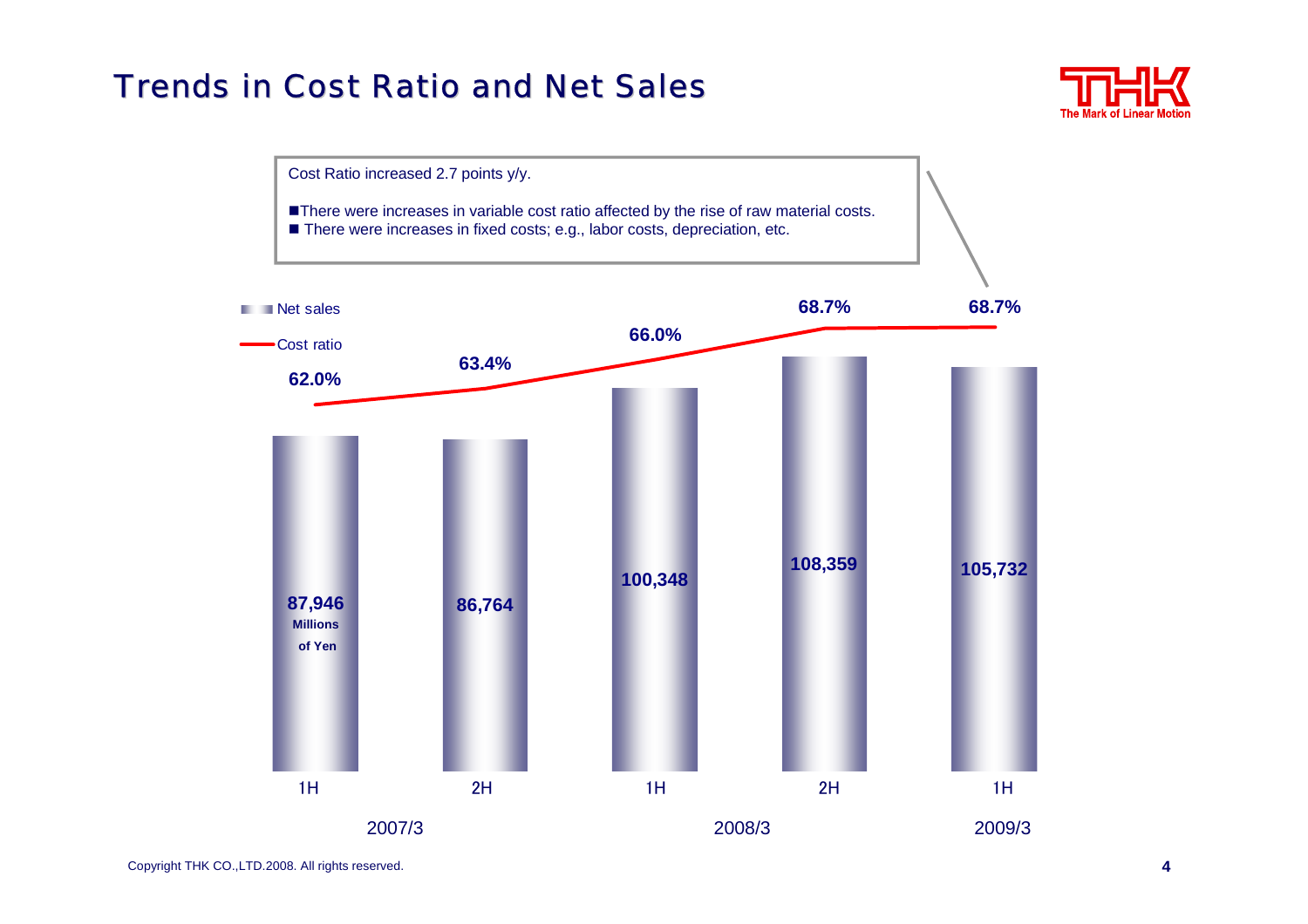### Trends in Cost Ratio and Net Sales Trends in Cost Ratio and Net Sales



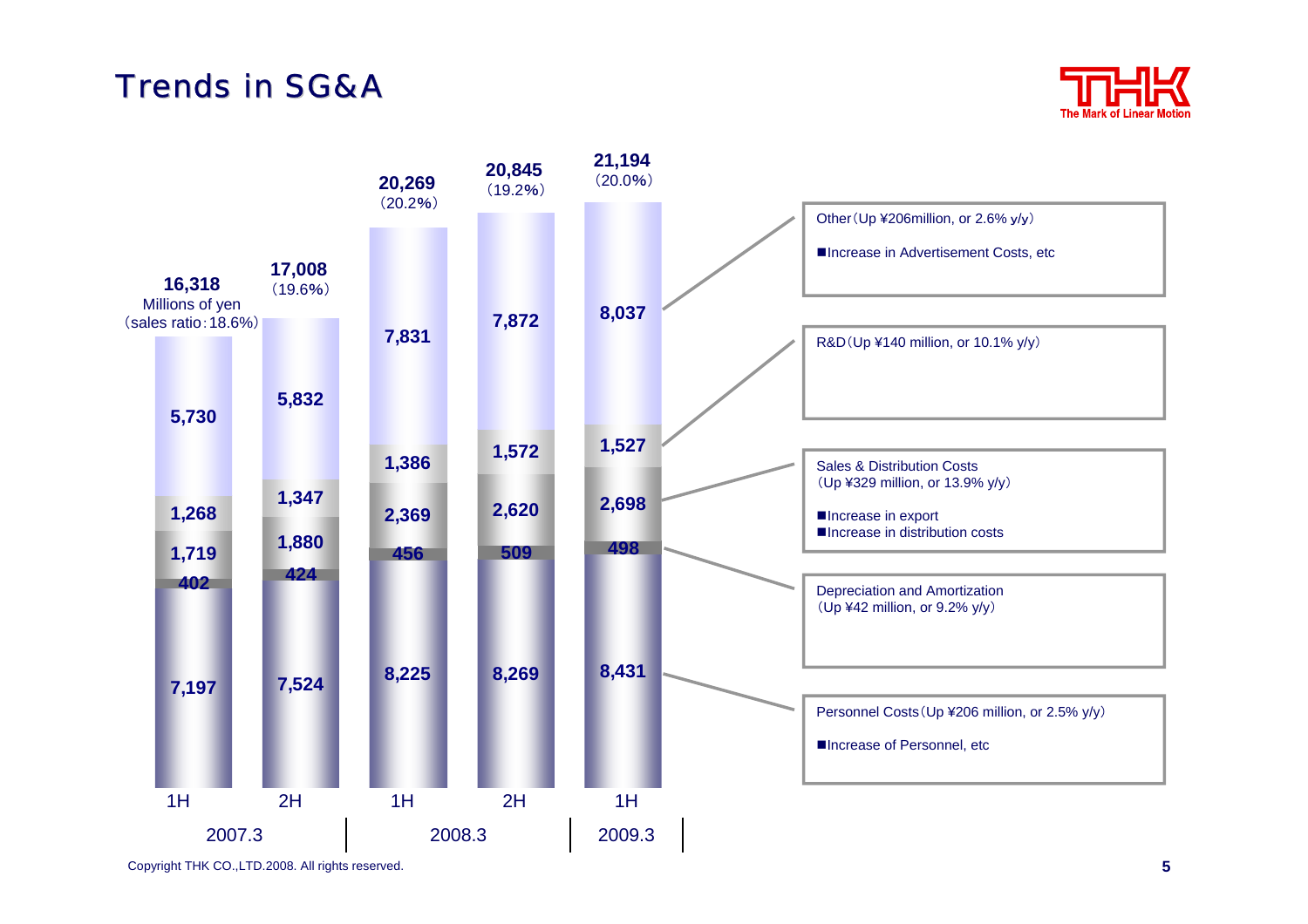#### Trends in SG&*A*



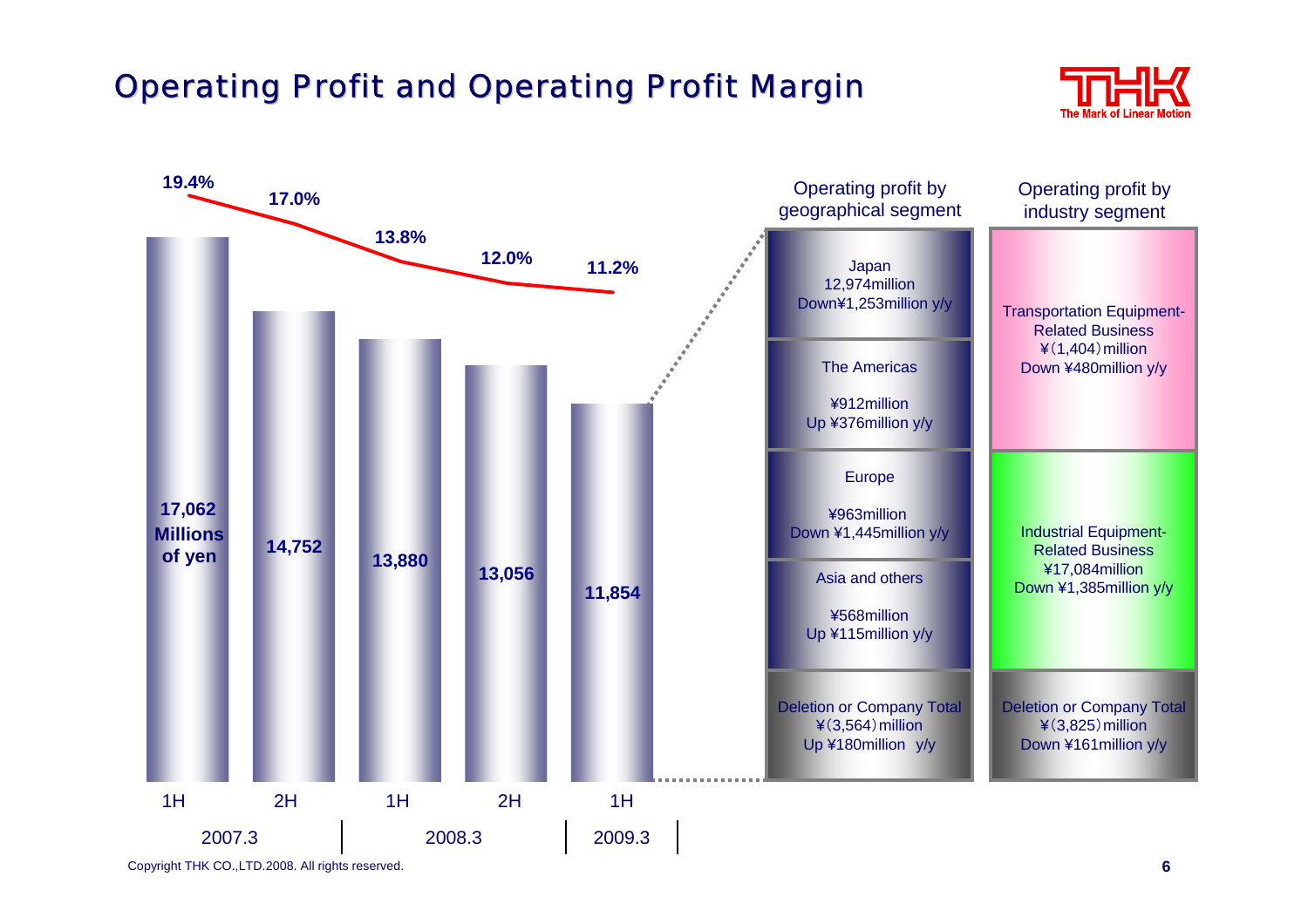## **Operating Profit and Operating Profit Margin**



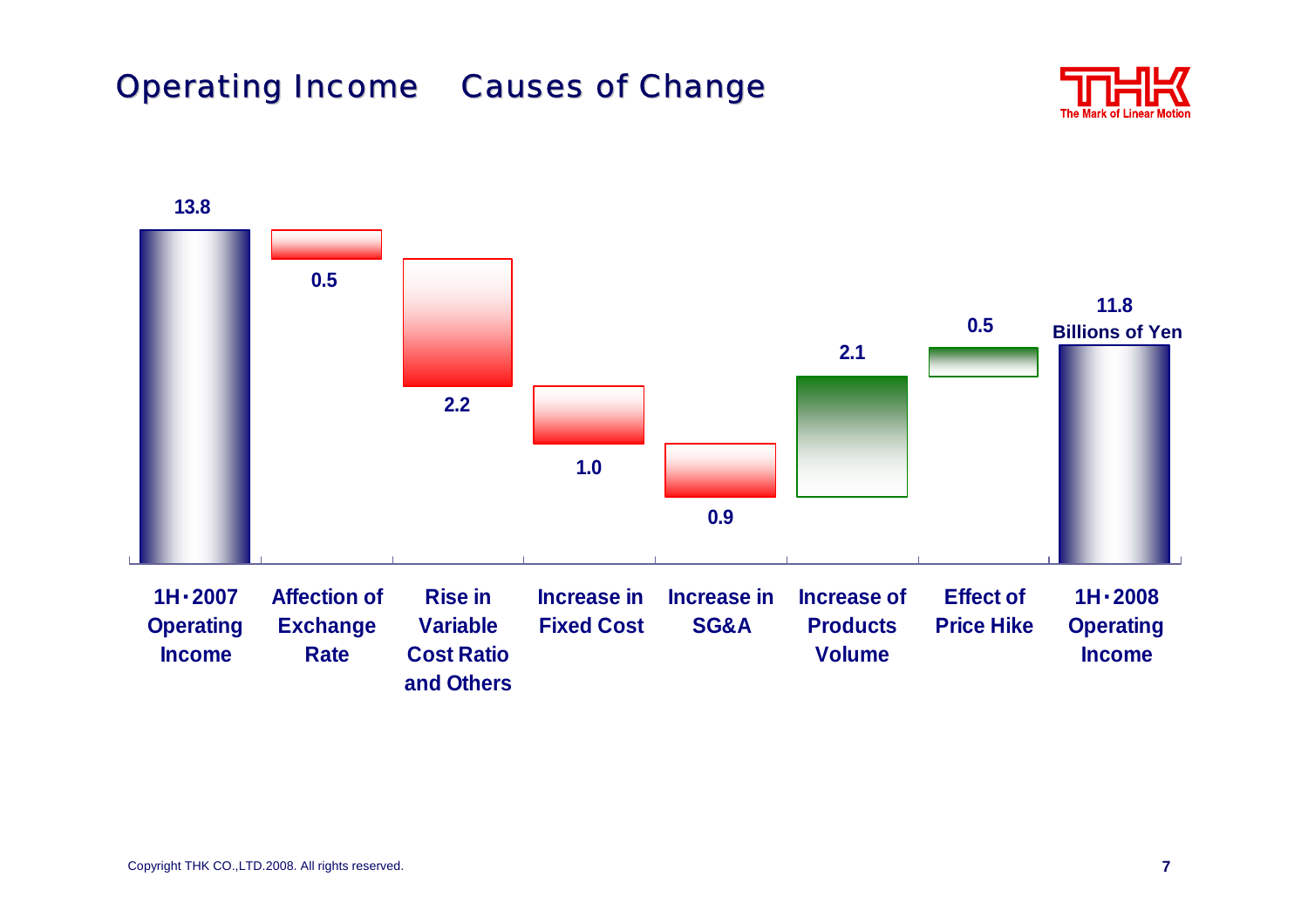## **Operating Income Causes of Change**

**and Others**



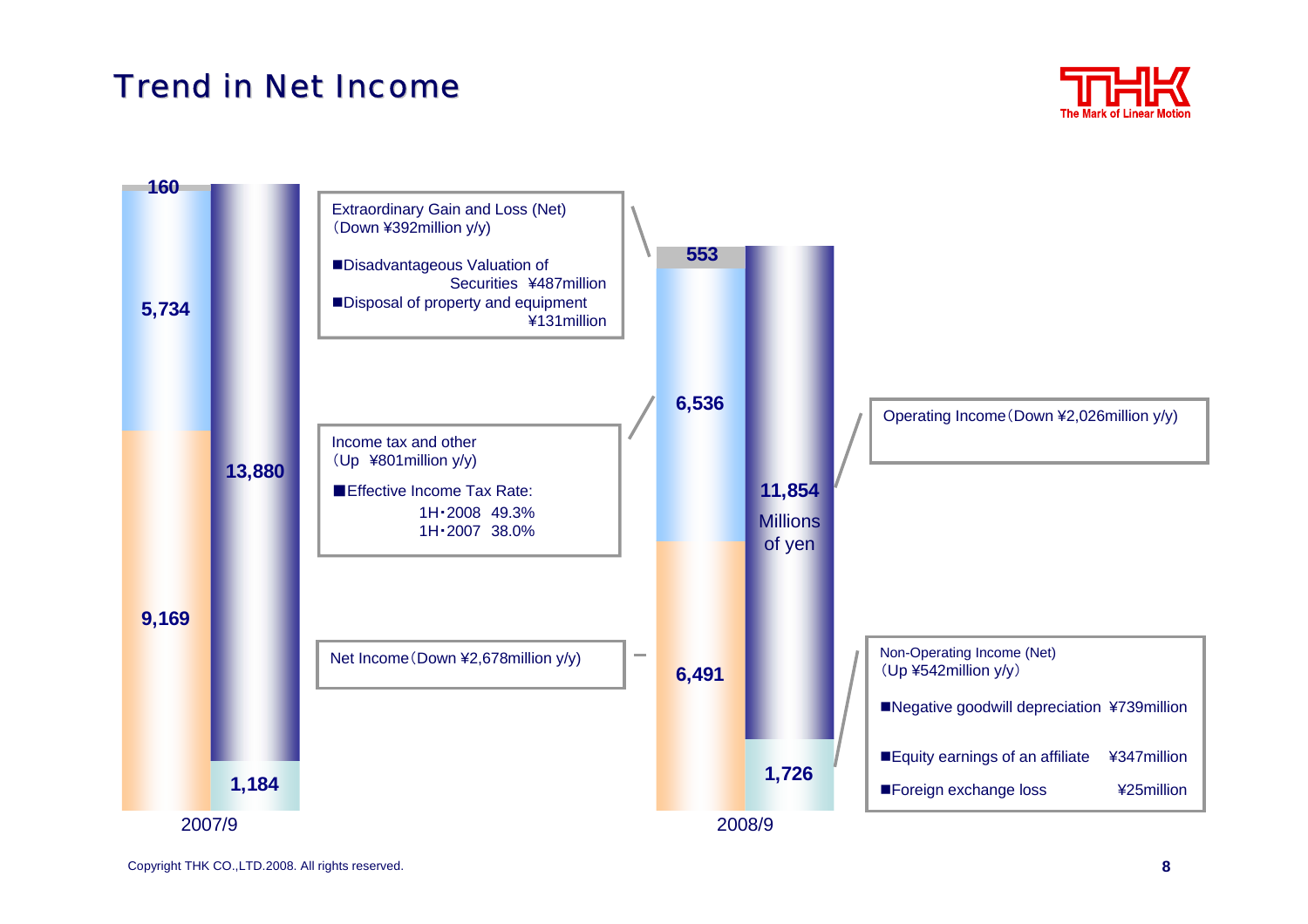#### Trend in Net Income



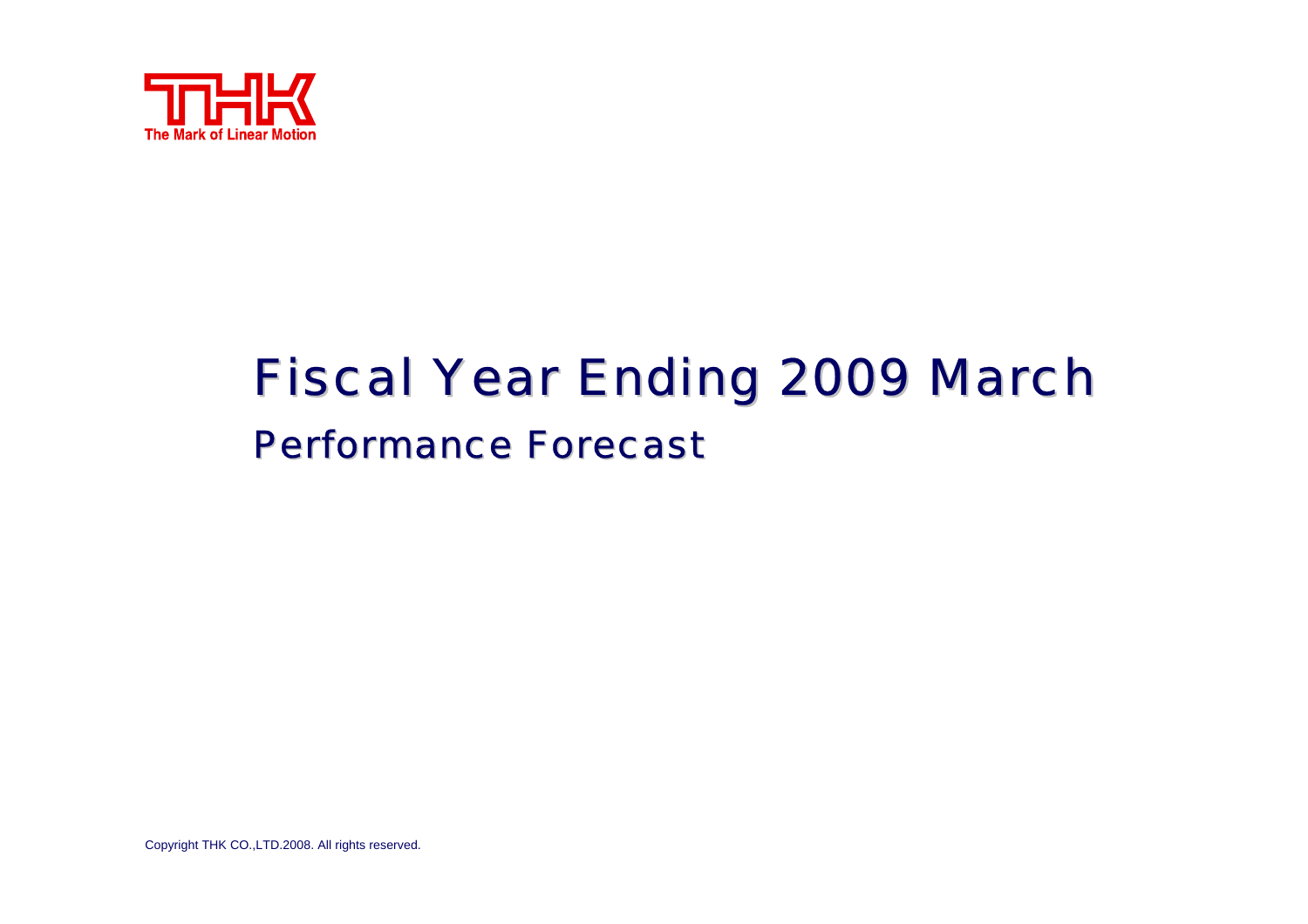

# **Fiscal Year Ending 2009 March Performance Forecast**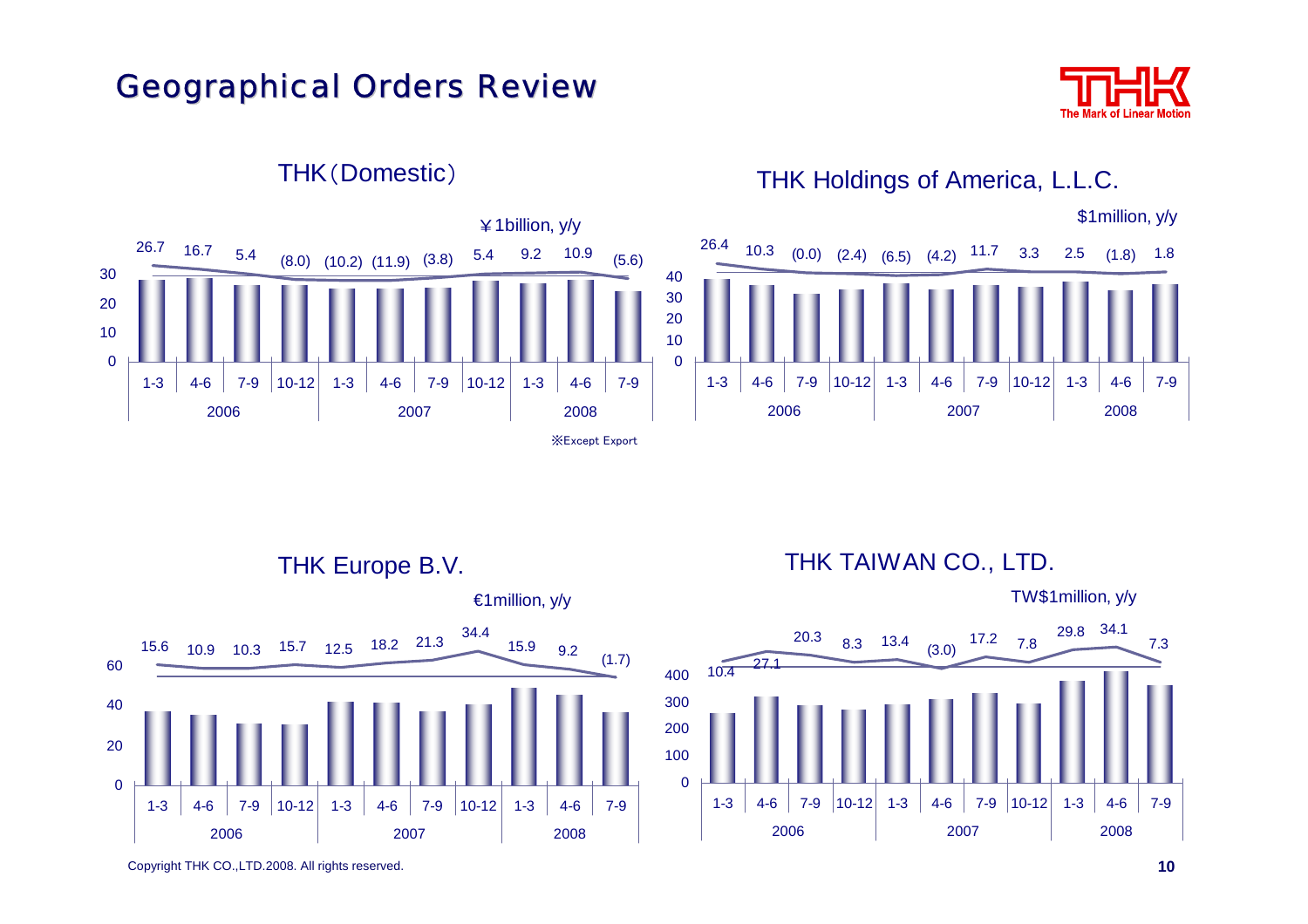#### **Geographical Orders Review**





#### THK(Domestic)

THK Holdings of America, L.L.C.



€1million, y/y

THK TAIWAN CO., LTD.

TW\$1million, y/y



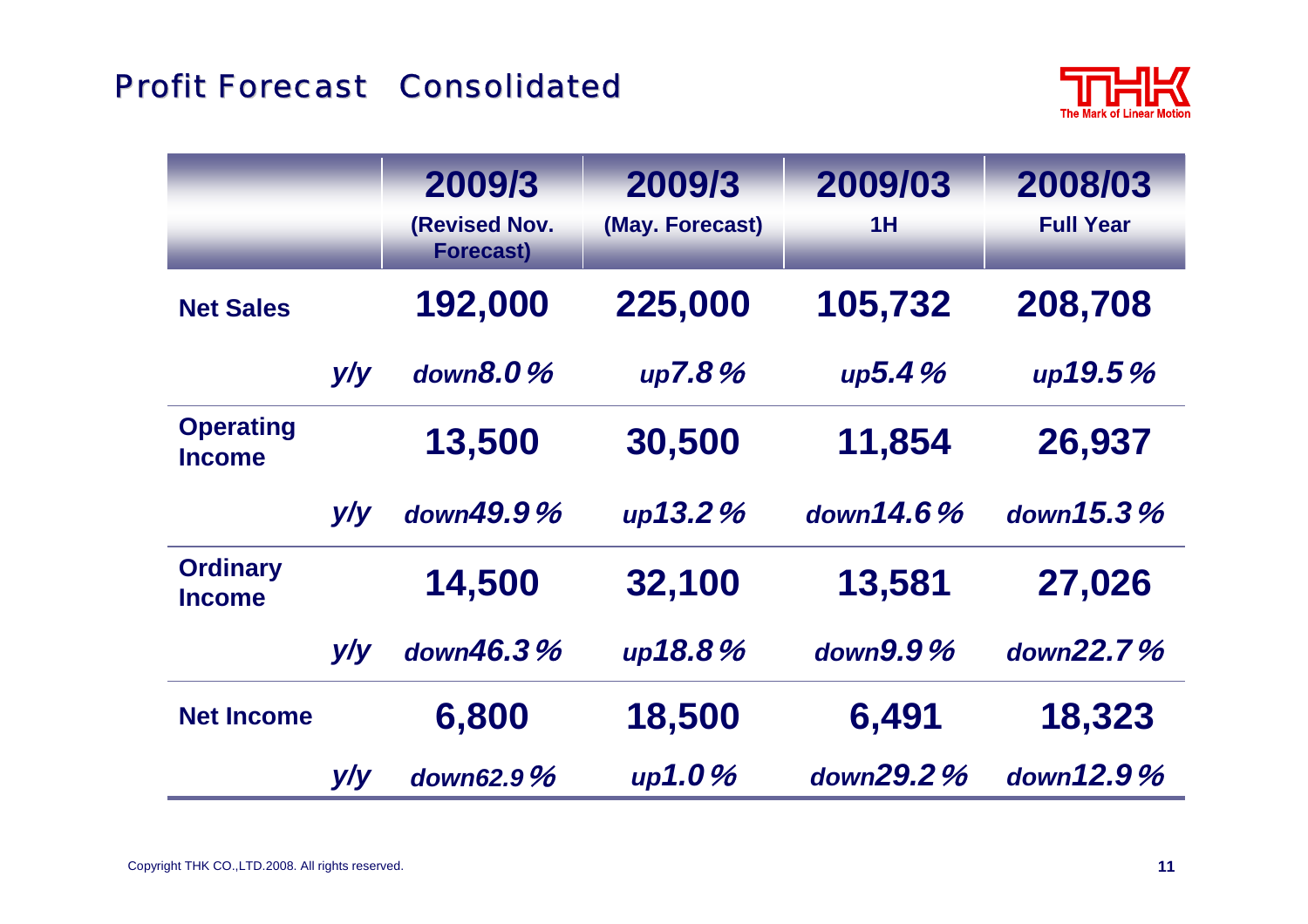#### Profit Forecast Consolidated



|                                   |     | 2009/3<br>(Revised Nov.<br><b>Forecast)</b> | 2009/3<br>(May. Forecast) | 2009/03<br>1H | 2008/03<br><b>Full Year</b> |
|-----------------------------------|-----|---------------------------------------------|---------------------------|---------------|-----------------------------|
| <b>Net Sales</b>                  |     | 192,000                                     | 225,000                   | 105,732       | 208,708                     |
|                                   | y/y | down $8.0\%$                                | up7.8%                    | up5.4%        | up19.5%                     |
| <b>Operating</b><br><b>Income</b> |     | 13,500                                      | 30,500                    | 11,854        | 26,937                      |
|                                   | y/y | down49.9%                                   | up13.2%                   | down $14.6%$  | down $15.3%$                |
| <b>Ordinary</b><br><b>Income</b>  |     | 14,500                                      | 32,100                    | 13,581        | 27,026                      |
|                                   | y/y | down46.3%                                   | up18.8%                   | down $9.9\%$  | down $22.7%$                |
| <b>Net Income</b>                 |     | 6,800                                       | 18,500                    | 6,491         | 18,323                      |
|                                   | y/y | down62.9%                                   | up1.0%                    | down29.2%     | down12.9%                   |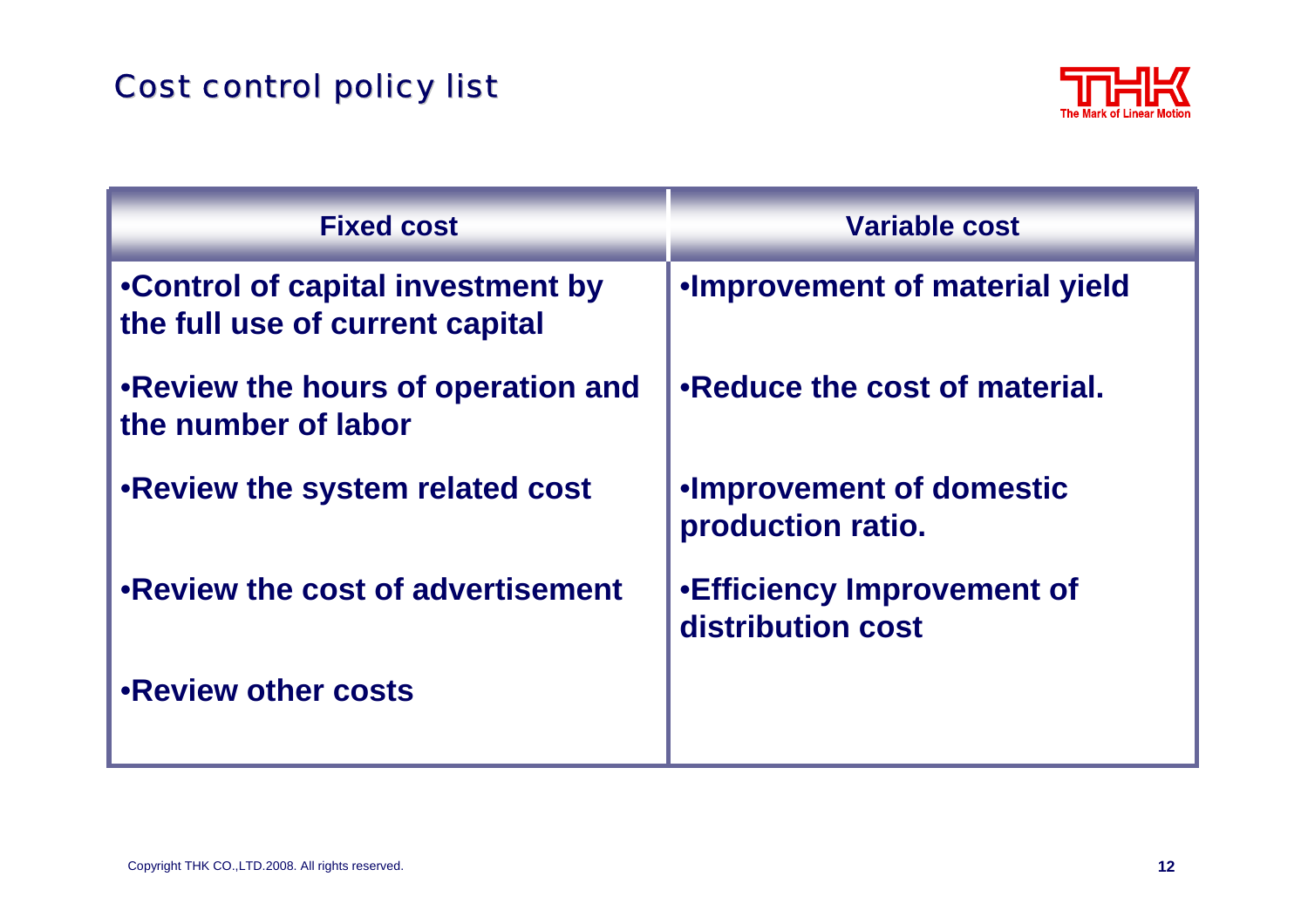## **Cost control policy list**



| <b>Fixed cost</b>                                                    | <b>Variable cost</b>                                    |
|----------------------------------------------------------------------|---------------------------------------------------------|
| •Control of capital investment by<br>the full use of current capital | . Improvement of material yield                         |
| . Review the hours of operation and<br>the number of labor           | •Reduce the cost of material.                           |
| .Review the system related cost                                      | <b>.Improvement of domestic</b><br>production ratio.    |
| .Review the cost of advertisement                                    | <b>.</b> Efficiency Improvement of<br>distribution cost |
| .Review other costs                                                  |                                                         |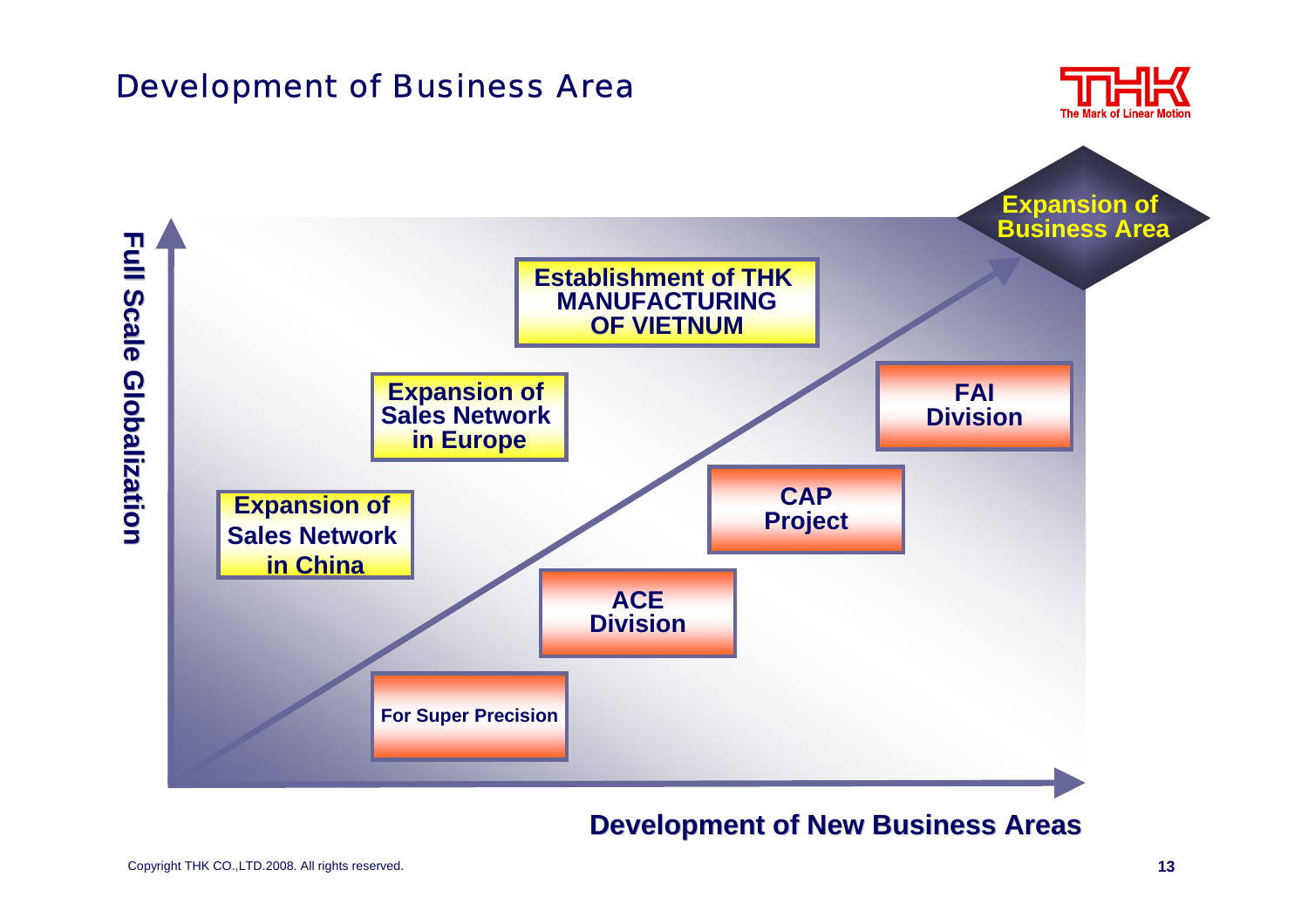#### Development of Business Area





#### **Development of New Business Areas**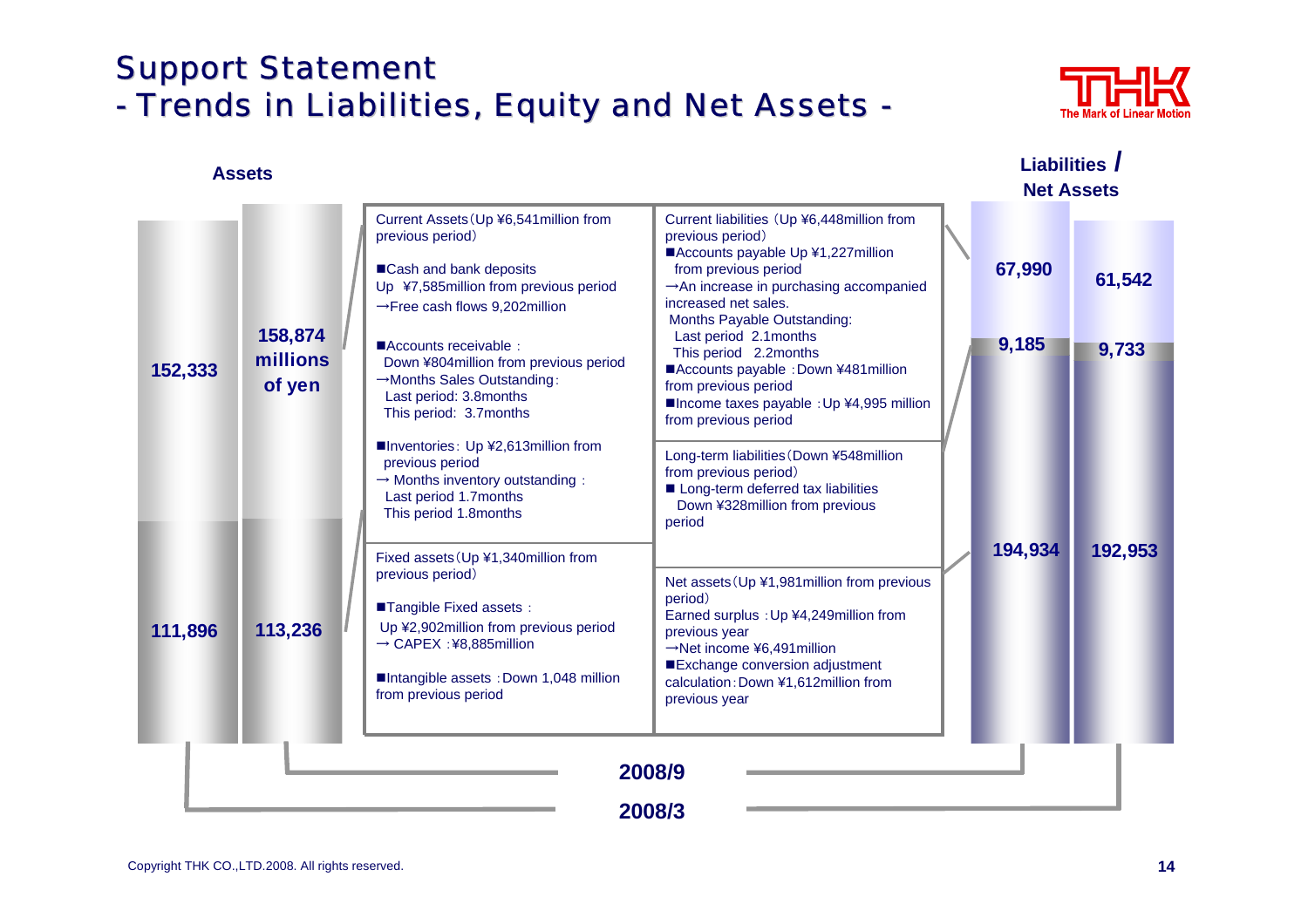#### **Support Statement** - Trends in Liabilities, Equity and Net Assets -



|                    | <b>Assets</b>                            |                                                                                                                                                                              |                                                                                                                                                                                                                                                          |  | Liabilities /<br><b>Net Assets</b> |         |
|--------------------|------------------------------------------|------------------------------------------------------------------------------------------------------------------------------------------------------------------------------|----------------------------------------------------------------------------------------------------------------------------------------------------------------------------------------------------------------------------------------------------------|--|------------------------------------|---------|
| 152,333<br>111,896 | 158,874<br>millions<br>of yen<br>113,236 | Current Assets (Up ¥6,541 million from<br>previous period)<br>■Cash and bank deposits<br>Up ¥7,585million from previous period<br>$\rightarrow$ Free cash flows 9,202million | Current liabilities (Up ¥6,448million from<br>previous period)<br>■Accounts payable Up ¥1,227 million<br>from previous period<br>An increase in purchasing accompanied<br>increased net sales.<br>Months Payable Outstanding:<br>Last period 2.1 months  |  | 67,990                             | 61,542  |
|                    |                                          | Accounts receivable:<br>Down ¥804million from previous period<br>→Months Sales Outstanding:<br>Last period: 3.8months<br>This period: 3.7months                              | This period 2.2months<br>■Accounts payable : Down ¥481 million<br>from previous period<br>■Income taxes payable : Up ¥4,995 million<br>from previous period                                                                                              |  | 9,185                              | 9,733   |
|                    |                                          | ■Inventories: Up ¥2,613million from<br>previous period<br>$\rightarrow$ Months inventory outstanding :<br>Last period 1.7months<br>This period 1.8months                     | Long-term liabilities (Down ¥548million<br>from previous period)<br>Long-term deferred tax liabilities<br>Down ¥328million from previous<br>period                                                                                                       |  |                                    |         |
|                    |                                          | Fixed assets (Up ¥1,340million from<br>previous period)<br>■Tangible Fixed assets:<br>Up ¥2,902million from previous period<br>→ CAPEX :¥8,885million                        | Net assets (Up ¥1,981 million from previous<br>period)<br>Earned surplus : Up ¥4,249million from<br>previous year<br>$\rightarrow$ Net income ¥6,491 million<br>■Exchange conversion adjustment<br>calculation: Down ¥1,612million from<br>previous year |  | 194,934                            | 192,953 |
|                    |                                          | Intangible assets : Down 1,048 million<br>from previous period                                                                                                               |                                                                                                                                                                                                                                                          |  |                                    |         |
|                    |                                          |                                                                                                                                                                              | 2008/9<br>2008/3                                                                                                                                                                                                                                         |  |                                    |         |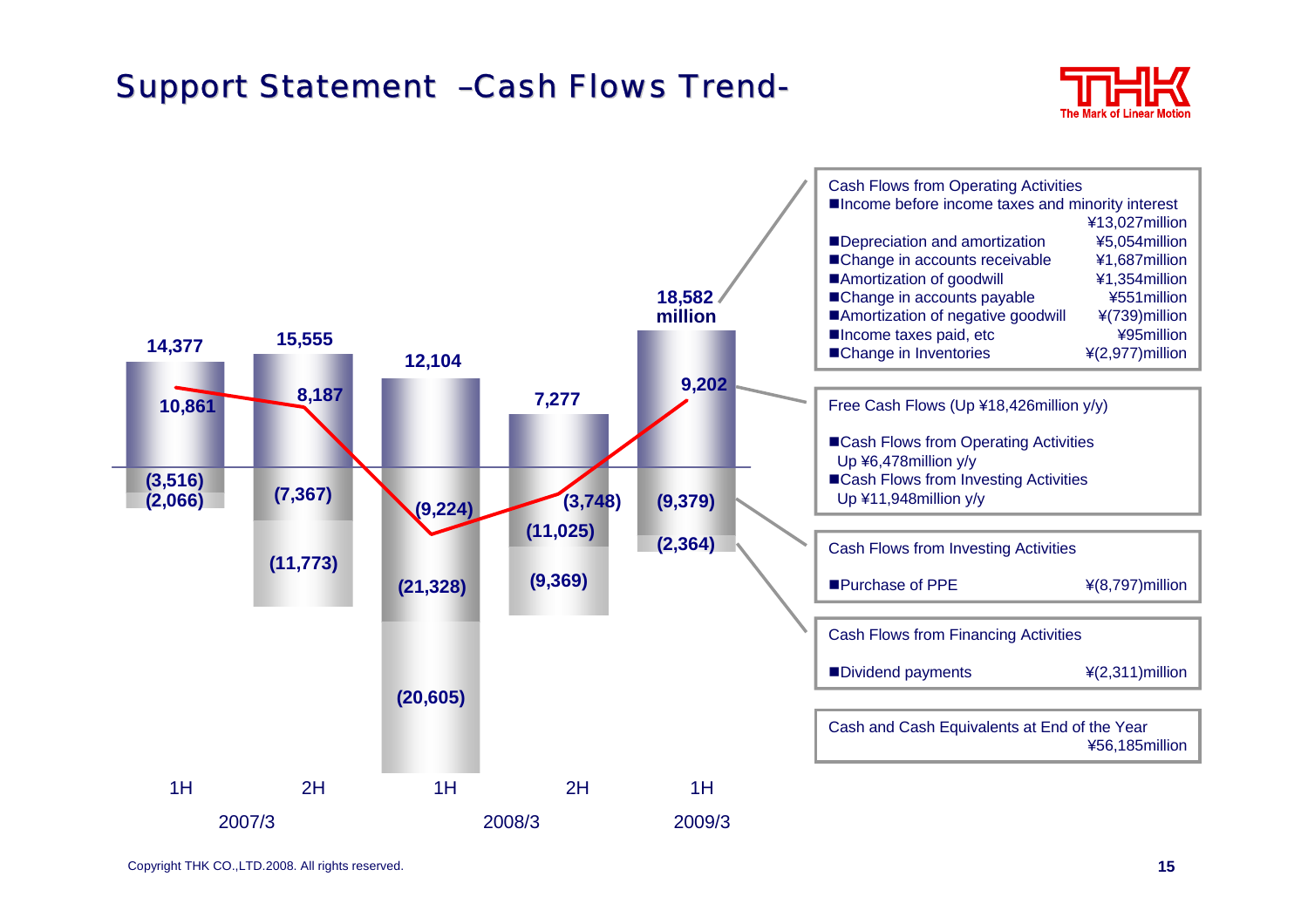#### Support Statement –Cash Flows Trend-



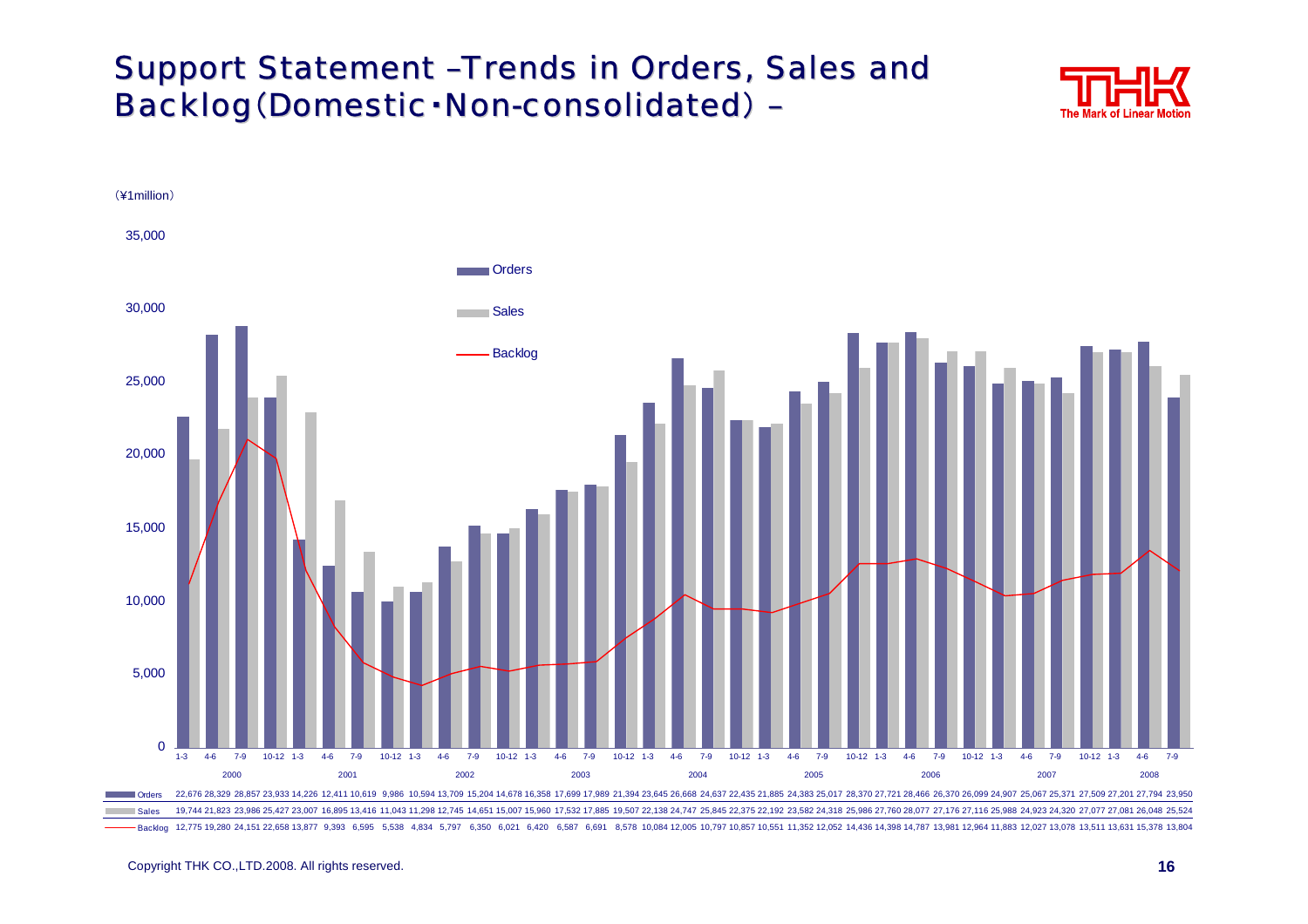#### Support Statement -Trends in Orders, Sales and Backlog (Domestic · Non-consolidated) –